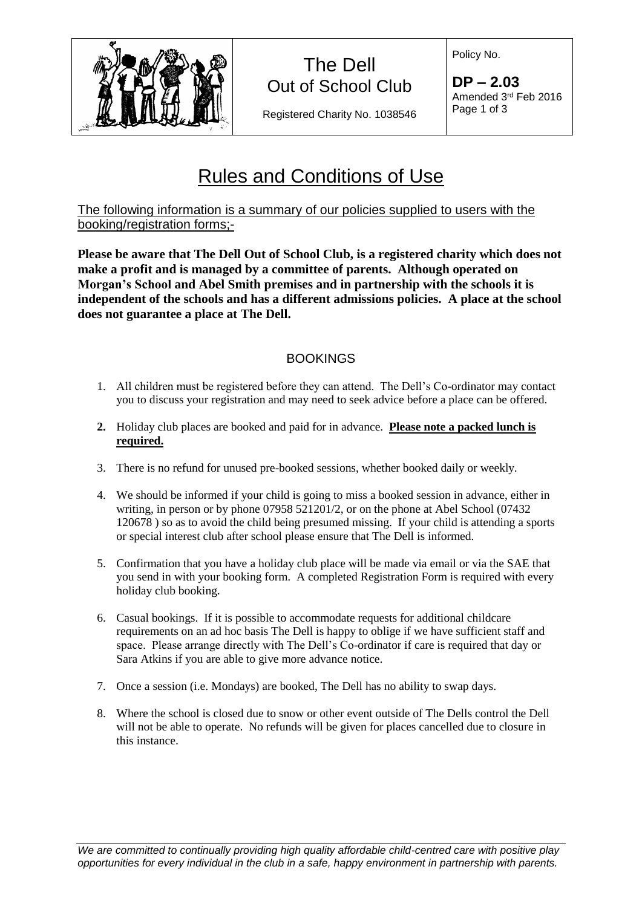

Registered Charity No. 1038546

Policy No.

**DP – 2.03** Amended 3 rd Feb 2016 Page 1 of 3

# Rules and Conditions of Use

The following information is a summary of our policies supplied to users with the booking/registration forms;-

**Please be aware that The Dell Out of School Club, is a registered charity which does not make a profit and is managed by a committee of parents. Although operated on Morgan's School and Abel Smith premises and in partnership with the schools it is independent of the schools and has a different admissions policies. A place at the school does not guarantee a place at The Dell.**

## **BOOKINGS**

- 1. All children must be registered before they can attend. The Dell's Co-ordinator may contact you to discuss your registration and may need to seek advice before a place can be offered.
- **2.** Holiday club places are booked and paid for in advance. **Please note a packed lunch is required.**
- 3. There is no refund for unused pre-booked sessions, whether booked daily or weekly.
- 4. We should be informed if your child is going to miss a booked session in advance, either in writing, in person or by phone 07958 521201/2, or on the phone at Abel School (07432 120678 ) so as to avoid the child being presumed missing. If your child is attending a sports or special interest club after school please ensure that The Dell is informed.
- 5. Confirmation that you have a holiday club place will be made via email or via the SAE that you send in with your booking form. A completed Registration Form is required with every holiday club booking.
- 6. Casual bookings. If it is possible to accommodate requests for additional childcare requirements on an ad hoc basis The Dell is happy to oblige if we have sufficient staff and space. Please arrange directly with The Dell's Co-ordinator if care is required that day or Sara Atkins if you are able to give more advance notice.
- 7. Once a session (i.e. Mondays) are booked, The Dell has no ability to swap days.
- 8. Where the school is closed due to snow or other event outside of The Dells control the Dell will not be able to operate. No refunds will be given for places cancelled due to closure in this instance.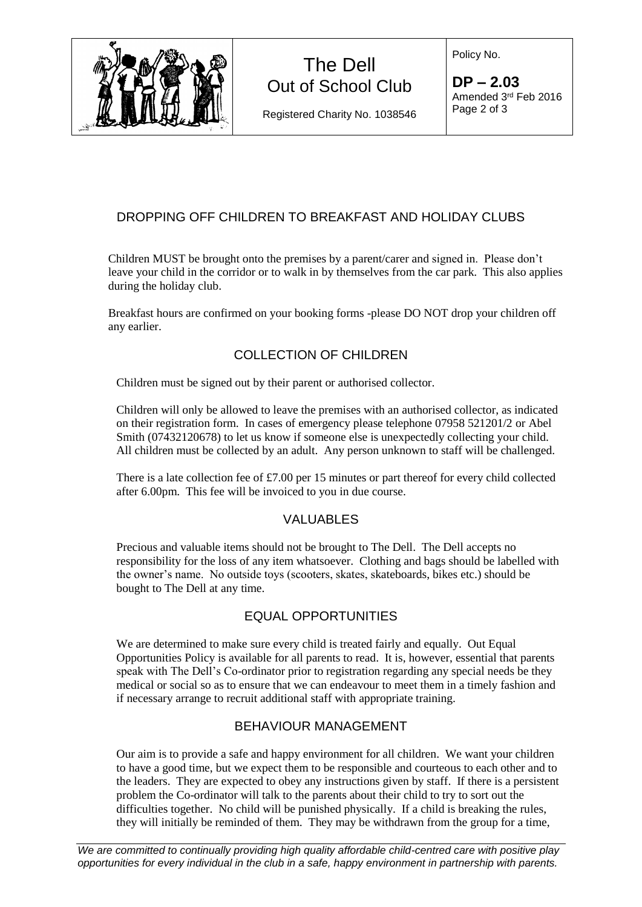

Registered Charity No. 1038546

Policy No.

**DP – 2.03** Amended 3 rd Feb 2016 Page 2 of 3

## DROPPING OFF CHILDREN TO BREAKFAST AND HOLIDAY CLUBS

Children MUST be brought onto the premises by a parent/carer and signed in. Please don't leave your child in the corridor or to walk in by themselves from the car park. This also applies during the holiday club.

Breakfast hours are confirmed on your booking forms -please DO NOT drop your children off any earlier.

## COLLECTION OF CHILDREN

Children must be signed out by their parent or authorised collector.

Children will only be allowed to leave the premises with an authorised collector, as indicated on their registration form. In cases of emergency please telephone 07958 521201/2 or Abel Smith (07432120678) to let us know if someone else is unexpectedly collecting your child. All children must be collected by an adult. Any person unknown to staff will be challenged.

There is a late collection fee of £7.00 per 15 minutes or part thereof for every child collected after 6.00pm. This fee will be invoiced to you in due course.

## VALUABLES

Precious and valuable items should not be brought to The Dell. The Dell accepts no responsibility for the loss of any item whatsoever. Clothing and bags should be labelled with the owner's name. No outside toys (scooters, skates, skateboards, bikes etc.) should be bought to The Dell at any time.

## EQUAL OPPORTUNITIES

We are determined to make sure every child is treated fairly and equally. Out Equal Opportunities Policy is available for all parents to read. It is, however, essential that parents speak with The Dell's Co-ordinator prior to registration regarding any special needs be they medical or social so as to ensure that we can endeavour to meet them in a timely fashion and if necessary arrange to recruit additional staff with appropriate training.

#### BEHAVIOUR MANAGEMENT

Our aim is to provide a safe and happy environment for all children. We want your children to have a good time, but we expect them to be responsible and courteous to each other and to the leaders. They are expected to obey any instructions given by staff. If there is a persistent problem the Co-ordinator will talk to the parents about their child to try to sort out the difficulties together. No child will be punished physically. If a child is breaking the rules, they will initially be reminded of them. They may be withdrawn from the group for a time,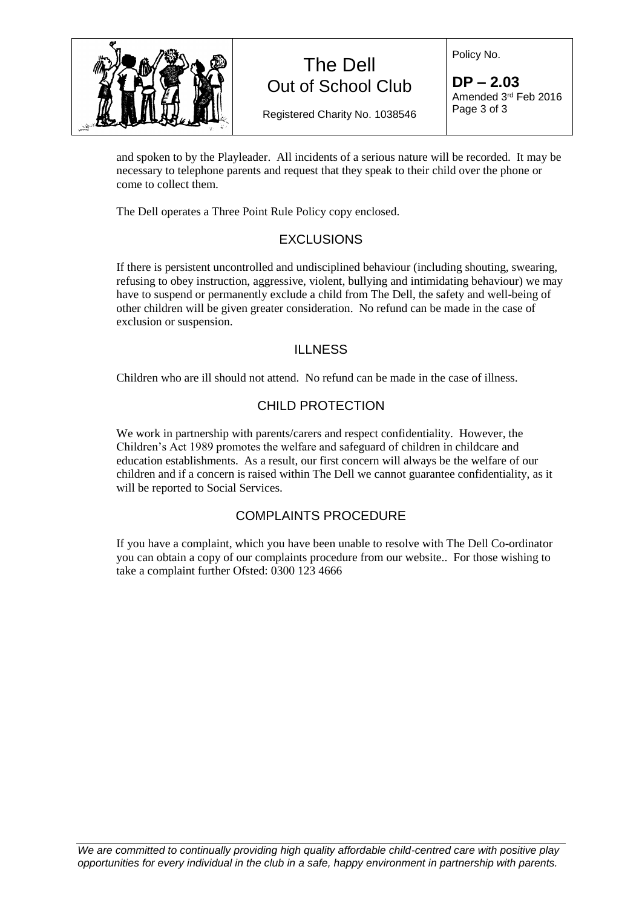

Policy No.

Registered Charity No. 1038546

**DP – 2.03** Amended 3 rd Feb 2016 Page 3 of 3

and spoken to by the Playleader. All incidents of a serious nature will be recorded. It may be necessary to telephone parents and request that they speak to their child over the phone or come to collect them.

The Dell operates a Three Point Rule Policy copy enclosed.

## **EXCLUSIONS**

If there is persistent uncontrolled and undisciplined behaviour (including shouting, swearing, refusing to obey instruction, aggressive, violent, bullying and intimidating behaviour) we may have to suspend or permanently exclude a child from The Dell, the safety and well-being of other children will be given greater consideration. No refund can be made in the case of exclusion or suspension.

#### ILLNESS

Children who are ill should not attend. No refund can be made in the case of illness.

### CHILD PROTECTION

We work in partnership with parents/carers and respect confidentiality. However, the Children's Act 1989 promotes the welfare and safeguard of children in childcare and education establishments. As a result, our first concern will always be the welfare of our children and if a concern is raised within The Dell we cannot guarantee confidentiality, as it will be reported to Social Services.

#### COMPLAINTS PROCEDURE

If you have a complaint, which you have been unable to resolve with The Dell Co-ordinator you can obtain a copy of our complaints procedure from our website.. For those wishing to take a complaint further Ofsted: 0300 123 4666